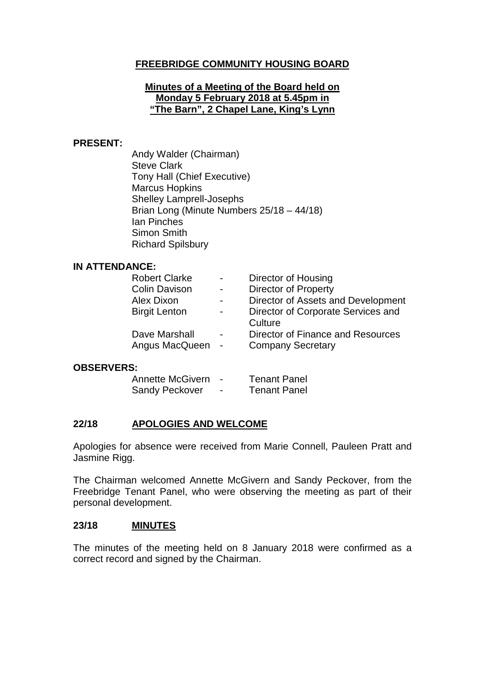# **FREEBRIDGE COMMUNITY HOUSING BOARD**

#### **Minutes of a Meeting of the Board held on Monday 5 February 2018 at 5.45pm in "The Barn", 2 Chapel Lane, King's Lynn**

#### **PRESENT:**

Andy Walder (Chairman) Steve Clark Tony Hall (Chief Executive) Marcus Hopkins Shelley Lamprell-Josephs Brian Long (Minute Numbers 25/18 – 44/18) Ian Pinches Simon Smith Richard Spilsbury

#### **IN ATTENDANCE:**

| <b>Robert Clarke</b>              | $\blacksquare$           | Director of Housing                                           |
|-----------------------------------|--------------------------|---------------------------------------------------------------|
| <b>Colin Davison</b>              | $\blacksquare$           | <b>Director of Property</b>                                   |
| Alex Dixon                        |                          | Director of Assets and Development                            |
| <b>Birgit Lenton</b>              | $\overline{\phantom{0}}$ | Director of Corporate Services and<br>Culture                 |
| Dave Marshall<br>Angus MacQueen - | $\blacksquare$           | Director of Finance and Resources<br><b>Company Secretary</b> |
|                                   |                          |                                                               |

#### **OBSERVERS:**

| <b>Annette McGivern</b> |                          | <b>Tenant Panel</b> |
|-------------------------|--------------------------|---------------------|
| <b>Sandy Peckover</b>   | $\overline{\phantom{a}}$ | <b>Tenant Panel</b> |

#### **22/18 APOLOGIES AND WELCOME**

Apologies for absence were received from Marie Connell, Pauleen Pratt and Jasmine Rigg.

The Chairman welcomed Annette McGivern and Sandy Peckover, from the Freebridge Tenant Panel, who were observing the meeting as part of their personal development.

#### **23/18 MINUTES**

The minutes of the meeting held on 8 January 2018 were confirmed as a correct record and signed by the Chairman.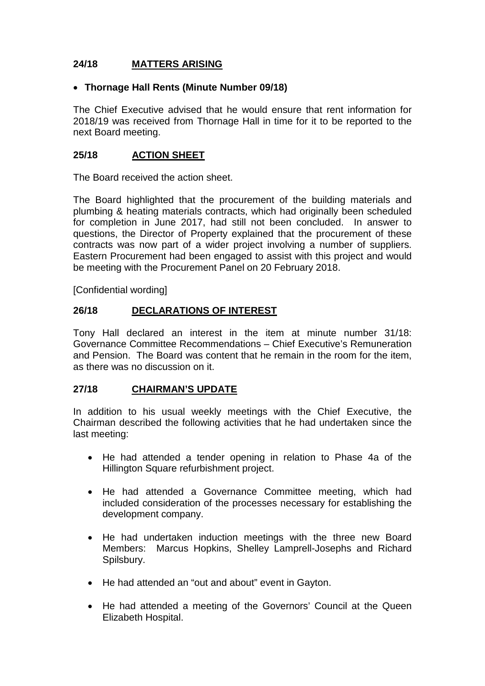# **24/18 MATTERS ARISING**

### • **Thornage Hall Rents (Minute Number 09/18)**

The Chief Executive advised that he would ensure that rent information for 2018/19 was received from Thornage Hall in time for it to be reported to the next Board meeting.

### **25/18 ACTION SHEET**

The Board received the action sheet.

The Board highlighted that the procurement of the building materials and plumbing & heating materials contracts, which had originally been scheduled for completion in June 2017, had still not been concluded. In answer to questions, the Director of Property explained that the procurement of these contracts was now part of a wider project involving a number of suppliers. Eastern Procurement had been engaged to assist with this project and would be meeting with the Procurement Panel on 20 February 2018.

[Confidential wording]

### **26/18 DECLARATIONS OF INTEREST**

Tony Hall declared an interest in the item at minute number 31/18: Governance Committee Recommendations – Chief Executive's Remuneration and Pension. The Board was content that he remain in the room for the item, as there was no discussion on it.

#### **27/18 CHAIRMAN'S UPDATE**

In addition to his usual weekly meetings with the Chief Executive, the Chairman described the following activities that he had undertaken since the last meeting:

- He had attended a tender opening in relation to Phase 4a of the Hillington Square refurbishment project.
- He had attended a Governance Committee meeting, which had included consideration of the processes necessary for establishing the development company.
- He had undertaken induction meetings with the three new Board Members: Marcus Hopkins, Shelley Lamprell-Josephs and Richard Spilsbury.
- He had attended an "out and about" event in Gayton.
- He had attended a meeting of the Governors' Council at the Queen Elizabeth Hospital.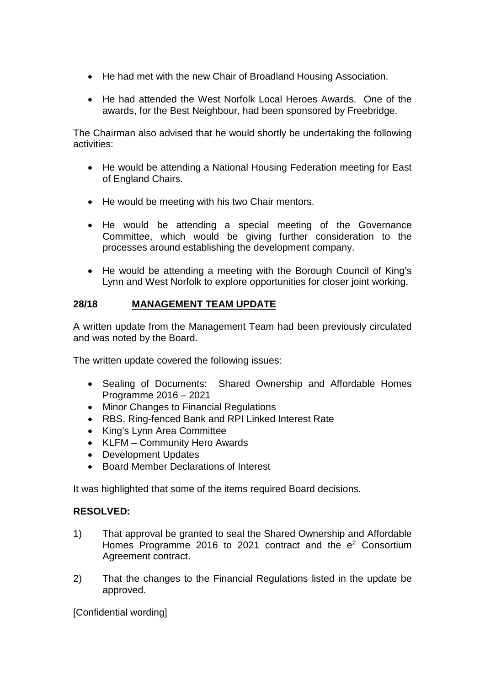- He had met with the new Chair of Broadland Housing Association.
- He had attended the West Norfolk Local Heroes Awards. One of the awards, for the Best Neighbour, had been sponsored by Freebridge.

The Chairman also advised that he would shortly be undertaking the following activities:

- He would be attending a National Housing Federation meeting for East of England Chairs.
- He would be meeting with his two Chair mentors.
- He would be attending a special meeting of the Governance Committee, which would be giving further consideration to the processes around establishing the development company.
- He would be attending a meeting with the Borough Council of King's Lynn and West Norfolk to explore opportunities for closer joint working.

# **28/18 MANAGEMENT TEAM UPDATE**

A written update from the Management Team had been previously circulated and was noted by the Board.

The written update covered the following issues:

- Sealing of Documents: Shared Ownership and Affordable Homes Programme 2016 – 2021
- Minor Changes to Financial Regulations
- RBS, Ring-fenced Bank and RPI Linked Interest Rate
- King's Lynn Area Committee
- KLFM Community Hero Awards
- Development Updates
- Board Member Declarations of Interest

It was highlighted that some of the items required Board decisions.

# **RESOLVED:**

- 1) That approval be granted to seal the Shared Ownership and Affordable Homes Programme 2016 to 2021 contract and the  $e^2$  Consortium Agreement contract.
- 2) That the changes to the Financial Regulations listed in the update be approved.

[Confidential wording]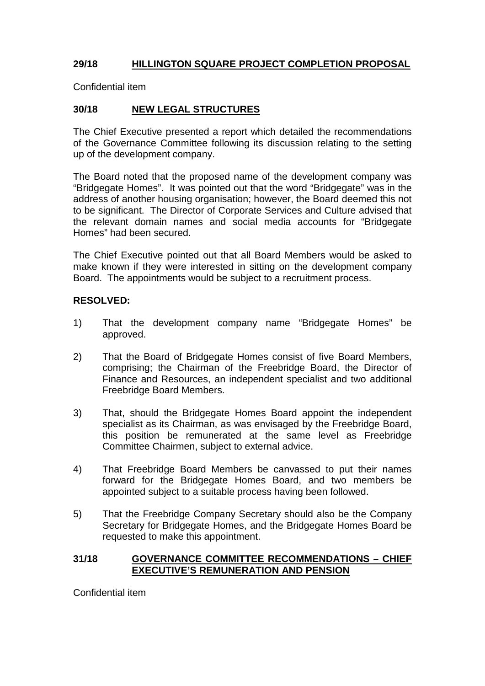# **29/18 HILLINGTON SQUARE PROJECT COMPLETION PROPOSAL**

Confidential item

### **30/18 NEW LEGAL STRUCTURES**

The Chief Executive presented a report which detailed the recommendations of the Governance Committee following its discussion relating to the setting up of the development company.

The Board noted that the proposed name of the development company was "Bridgegate Homes". It was pointed out that the word "Bridgegate" was in the address of another housing organisation; however, the Board deemed this not to be significant. The Director of Corporate Services and Culture advised that the relevant domain names and social media accounts for "Bridgegate Homes" had been secured.

The Chief Executive pointed out that all Board Members would be asked to make known if they were interested in sitting on the development company Board. The appointments would be subject to a recruitment process.

#### **RESOLVED:**

- 1) That the development company name "Bridgegate Homes" be approved.
- 2) That the Board of Bridgegate Homes consist of five Board Members, comprising; the Chairman of the Freebridge Board, the Director of Finance and Resources, an independent specialist and two additional Freebridge Board Members.
- 3) That, should the Bridgegate Homes Board appoint the independent specialist as its Chairman, as was envisaged by the Freebridge Board, this position be remunerated at the same level as Freebridge Committee Chairmen, subject to external advice.
- 4) That Freebridge Board Members be canvassed to put their names forward for the Bridgegate Homes Board, and two members be appointed subject to a suitable process having been followed.
- 5) That the Freebridge Company Secretary should also be the Company Secretary for Bridgegate Homes, and the Bridgegate Homes Board be requested to make this appointment.

#### **31/18 GOVERNANCE COMMITTEE RECOMMENDATIONS – CHIEF EXECUTIVE'S REMUNERATION AND PENSION**

Confidential item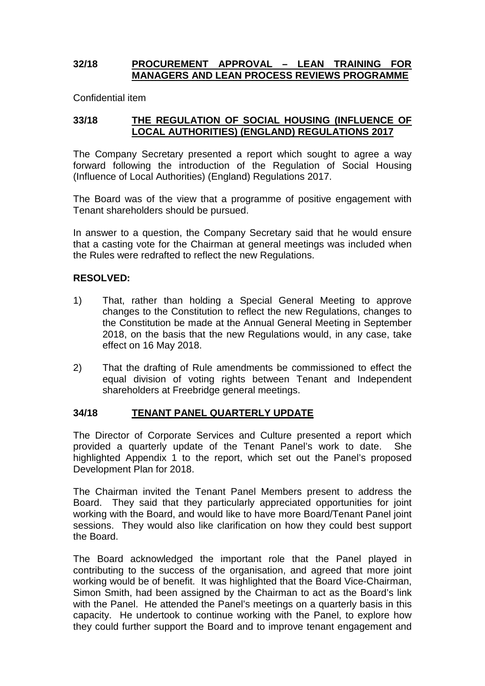### **32/18 PROCUREMENT APPROVAL – LEAN TRAINING FOR MANAGERS AND LEAN PROCESS REVIEWS PROGRAMME**

Confidential item

### **33/18 THE REGULATION OF SOCIAL HOUSING (INFLUENCE OF LOCAL AUTHORITIES) (ENGLAND) REGULATIONS 2017**

The Company Secretary presented a report which sought to agree a way forward following the introduction of the Regulation of Social Housing (Influence of Local Authorities) (England) Regulations 2017.

The Board was of the view that a programme of positive engagement with Tenant shareholders should be pursued.

In answer to a question, the Company Secretary said that he would ensure that a casting vote for the Chairman at general meetings was included when the Rules were redrafted to reflect the new Regulations.

#### **RESOLVED:**

- 1) That, rather than holding a Special General Meeting to approve changes to the Constitution to reflect the new Regulations, changes to the Constitution be made at the Annual General Meeting in September 2018, on the basis that the new Regulations would, in any case, take effect on 16 May 2018.
- 2) That the drafting of Rule amendments be commissioned to effect the equal division of voting rights between Tenant and Independent shareholders at Freebridge general meetings.

#### **34/18 TENANT PANEL QUARTERLY UPDATE**

The Director of Corporate Services and Culture presented a report which provided a quarterly update of the Tenant Panel's work to date. She highlighted Appendix 1 to the report, which set out the Panel's proposed Development Plan for 2018.

The Chairman invited the Tenant Panel Members present to address the Board. They said that they particularly appreciated opportunities for joint working with the Board, and would like to have more Board/Tenant Panel joint sessions. They would also like clarification on how they could best support the Board.

The Board acknowledged the important role that the Panel played in contributing to the success of the organisation, and agreed that more joint working would be of benefit. It was highlighted that the Board Vice-Chairman, Simon Smith, had been assigned by the Chairman to act as the Board's link with the Panel. He attended the Panel's meetings on a quarterly basis in this capacity. He undertook to continue working with the Panel, to explore how they could further support the Board and to improve tenant engagement and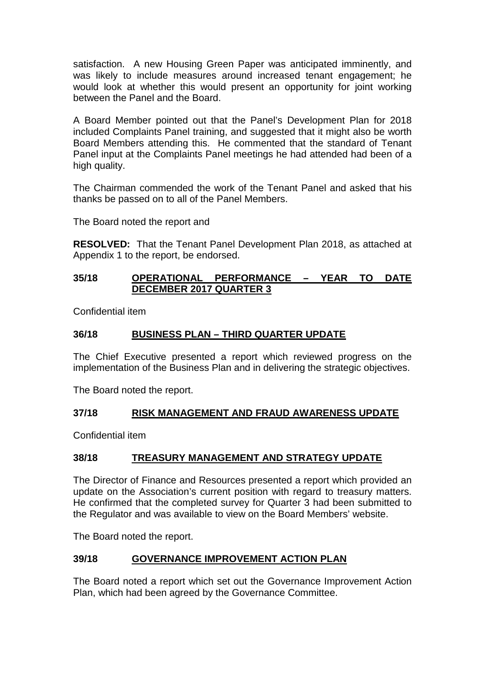satisfaction. A new Housing Green Paper was anticipated imminently, and was likely to include measures around increased tenant engagement; he would look at whether this would present an opportunity for joint working between the Panel and the Board.

A Board Member pointed out that the Panel's Development Plan for 2018 included Complaints Panel training, and suggested that it might also be worth Board Members attending this. He commented that the standard of Tenant Panel input at the Complaints Panel meetings he had attended had been of a high quality.

The Chairman commended the work of the Tenant Panel and asked that his thanks be passed on to all of the Panel Members.

The Board noted the report and

**RESOLVED:** That the Tenant Panel Development Plan 2018, as attached at Appendix 1 to the report, be endorsed.

### **35/18 OPERATIONAL PERFORMANCE – YEAR TO DATE DECEMBER 2017 QUARTER 3**

Confidential item

#### **36/18 BUSINESS PLAN – THIRD QUARTER UPDATE**

The Chief Executive presented a report which reviewed progress on the implementation of the Business Plan and in delivering the strategic objectives.

The Board noted the report.

# **37/18 RISK MANAGEMENT AND FRAUD AWARENESS UPDATE**

Confidential item

#### **38/18 TREASURY MANAGEMENT AND STRATEGY UPDATE**

The Director of Finance and Resources presented a report which provided an update on the Association's current position with regard to treasury matters. He confirmed that the completed survey for Quarter 3 had been submitted to the Regulator and was available to view on the Board Members' website.

The Board noted the report.

#### **39/18 GOVERNANCE IMPROVEMENT ACTION PLAN**

The Board noted a report which set out the Governance Improvement Action Plan, which had been agreed by the Governance Committee.